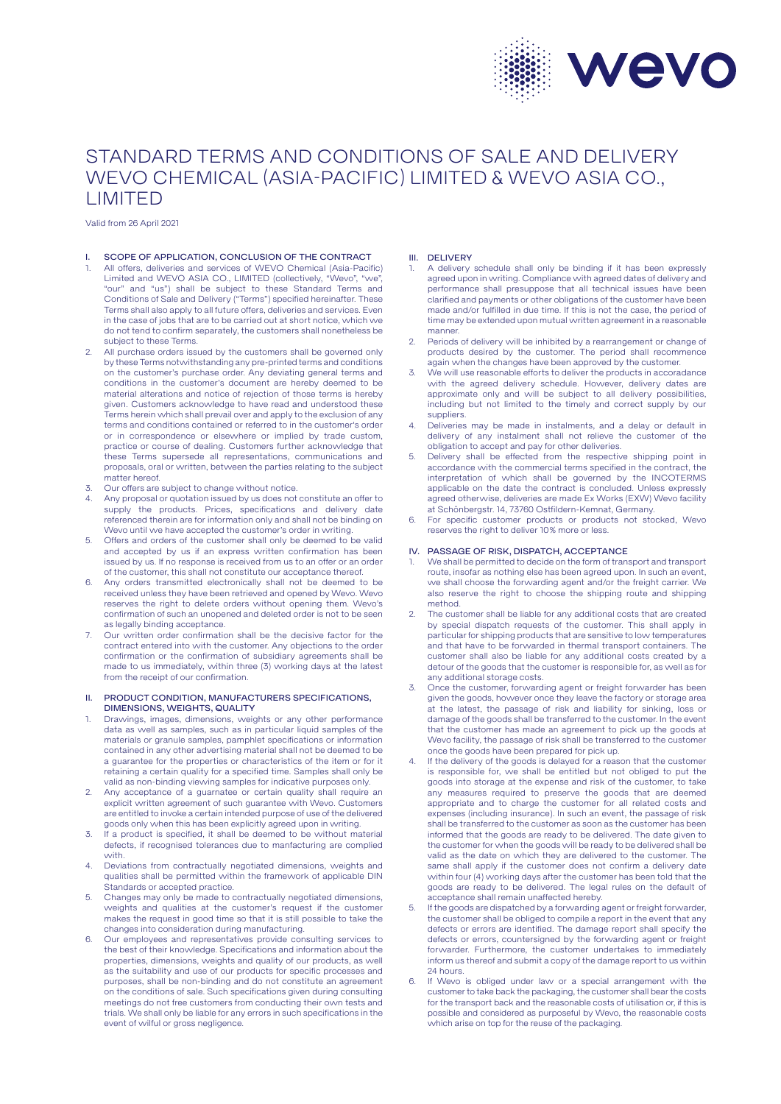

# STANDARD TERMS AND CONDITIONS OF SALE AND DELIVERY WEVO CHEMICAL (ASIA-PACIFIC) LIMITED & WEVO ASIA CO., LIMITED

Valid from 26 April 2021

## SCOPE OF APPLICATION, CONCLUSION OF THE CONTRACT

- All offers, deliveries and services of WEVO Chemical (Asia-Pacific) Limited and WEVO ASIA CO., LIMITED (collectively, "Wevo", "we' "our" and "us") shall be subject to these Standard Terms and Conditions of Sale and Delivery ("Terms") specified hereinafter. These Terms shall also apply to all future offers, deliveries and services. Even in the case of jobs that are to be carried out at short notice, which we do not tend to confirm separately, the customers shall nonetheless be subject to these Terms.
- All purchase orders issued by the customers shall be governed only by these Terms notwithstanding any pre-printed terms and conditions on the customer's purchase order. Any deviating general terms and conditions in the customer's document are hereby deemed to be material alterations and notice of rejection of those terms is hereby given. Customers acknowledge to have read and understood these Terms herein which shall prevail over and apply to the exclusion of any terms and conditions contained or referred to in the customer's order or in correspondence or elsewhere or implied by trade custom, practice or course of dealing. Customers further acknowledge that these Terms supersede all representations, communications and proposals, oral or written, between the parties relating to the subject matter hereof.
- Our offers are subject to change without notice.
- 4. Any proposal or quotation issued by us does not constitute an offer to supply the products. Prices, specifications and delivery date referenced therein are for information only and shall not be binding on Wevo until we have accepted the customer's order in writing.
- Offers and orders of the customer shall only be deemed to be valid and accepted by us if an express written confirmation has been issued by us. If no response is received from us to an offer or an order of the customer, this shall not constitute our acceptance thereof.
- 6. Any orders transmitted electronically shall not be deemed to be received unless they have been retrieved and opened by Wevo. Wevo reserves the right to delete orders without opening them. Wevo's confirmation of such an unopened and deleted order is not to be seen as legally binding acceptance.
- 7. Our written order confirmation shall be the decisive factor for the contract entered into with the customer. Any objections to the order confirmation or the confirmation of subsidiary agreements shall be made to us immediately, within three (3) working days at the latest from the receipt of our confirmation.

#### II. PRODUCT CONDITION, MANUFACTURERS SPECIFICATIONS, DIMENSIONS, WEIGHTS, QUALITY

- 1. Drawings, images, dimensions, weights or any other performance data as well as samples, such as in particular liquid samples of the materials or granule samples, pamphlet specifications or information contained in any other advertising material shall not be deemed to be a guarantee for the properties or characteristics of the item or for it retaining a certain quality for a specified time. Samples shall only be valid as non-binding viewing samples for indicative purposes only.
- 2. Any acceptance of a guarnatee or certain quality shall require an explicit written agreement of such guarantee with Wevo. Customers are entitled to invoke a certain intended purpose of use of the delivered goods only when this has been explicitly agreed upon in writing.
- 3. If a product is specified, it shall be deemed to be without material defects, if recognised tolerances due to manfacturing are complied with.
- 4. Deviations from contractually negotiated dimensions, weights and qualities shall be permitted within the framework of applicable DIN Standards or accepted practice.
- 5. Changes may only be made to contractually negotiated dimensions, weights and qualities at the customer's request if the customer makes the request in good time so that it is still possible to take the changes into consideration during manufacturing.
- 6. Our employees and representatives provide consulting services to the best of their knowledge. Specifications and information about the properties, dimensions, weights and quality of our products, as well as the suitability and use of our products for specific processes and purposes, shall be non-binding and do not constitute an agreement on the conditions of sale. Such specifications given during consulting meetings do not free customers from conducting their own tests and trials. We shall only be liable for any errors in such specifications in the event of wilful or gross negligence.

#### III. DELIVERY

- A delivery schedule shall only be binding if it has been expressly agreed upon in writing. Compliance with agreed dates of delivery and performance shall presuppose that all technical issues have been clarified and payments or other obligations of the customer have been made and/or fulfilled in due time. If this is not the case, the period of time may be extended upon mutual written agreement in a reasonable manner.
- 2. Periods of delivery will be inhibited by a rearrangement or change of products desired by the customer. The period shall recommence again when the changes have been approved by the customer.
- We will use reasonable efforts to deliver the products in accoradance with the agreed delivery schedule. However, delivery dates are approximate only and will be subject to all delivery possibilities, including but not limited to the timely and correct supply by our suppliers.
- 4. Deliveries may be made in instalments, and a delay or default in delivery of any instalment shall not relieve the customer of the obligation to accept and pay for other deliveries.
- 5. Delivery shall be effected from the respective shipping point in accordance with the commercial terms specified in the contract, the interpretation of which shall be governed by the INCOTERMS applicable on the date the contract is concluded. Unless expressly agreed otherwise, deliveries are made Ex Works (EXW) Wevo facility at Schönbergstr. 14, 73760 Ostfildern-Kemnat, Germany.
- 6. For specific customer products or products not stocked, Wevo reserves the right to deliver 10% more or less.

## IV. PASSAGE OF RISK, DISPATCH, ACCEPTANCE

- 1. We shall be permitted to decide on the form of transport and transport route, insofar as nothing else has been agreed upon. In such an event, we shall choose the forwarding agent and/or the freight carrier. We also reserve the right to choose the shipping route and shipping method.
- The customer shall be liable for any additional costs that are created by special dispatch requests of the customer. This shall apply in particular for shipping products that are sensitive to low temperatures and that have to be forwarded in thermal transport containers. The customer shall also be liable for any additional costs created by a detour of the goods that the customer is responsible for, as well as for any additional storage costs.
- Once the customer, forwarding agent or freight forwarder has been given the goods, however once they leave the factory or storage area at the latest, the passage of risk and liability for sinking, loss or damage of the goods shall be transferred to the customer. In the event that the customer has made an agreement to pick up the goods at Wevo facility, the passage of risk shall be transferred to the customer once the goods have been prepared for pick up.
- If the delivery of the goods is delayed for a reason that the customer is responsible for, we shall be entitled but not obliged to put the goods into storage at the expense and risk of the customer, to take any measures required to preserve the goods that are deemed appropriate and to charge the customer for all related costs and expenses (including insurance). In such an event, the passage of risk shall be transferred to the customer as soon as the customer has been informed that the goods are ready to be delivered. The date given to the customer for when the goods will be ready to be delivered shall be valid as the date on which they are delivered to the customer. The same shall apply if the customer does not confirm a delivery date within four (4) working days after the customer has been told that the goods are ready to be delivered. The legal rules on the default of acceptance shall remain unaffected hereby.
- If the goods are dispatched by a forwarding agent or freight forwarder, the customer shall be obliged to compile a report in the event that any defects or errors are identified. The damage report shall specify the defects or errors, countersigned by the forwarding agent or freight forwarder. Furthermore, the customer undertakes to immediately inform us thereof and submit a copy of the damage report to us within 24 hours.
- If Wevo is obliged under law or a special arrangement with the customer to take back the packaging, the customer shall bear the costs for the transport back and the reasonable costs of utilisation or, if this is possible and considered as purposeful by Wevo, the reasonable costs which arise on top for the reuse of the packaging.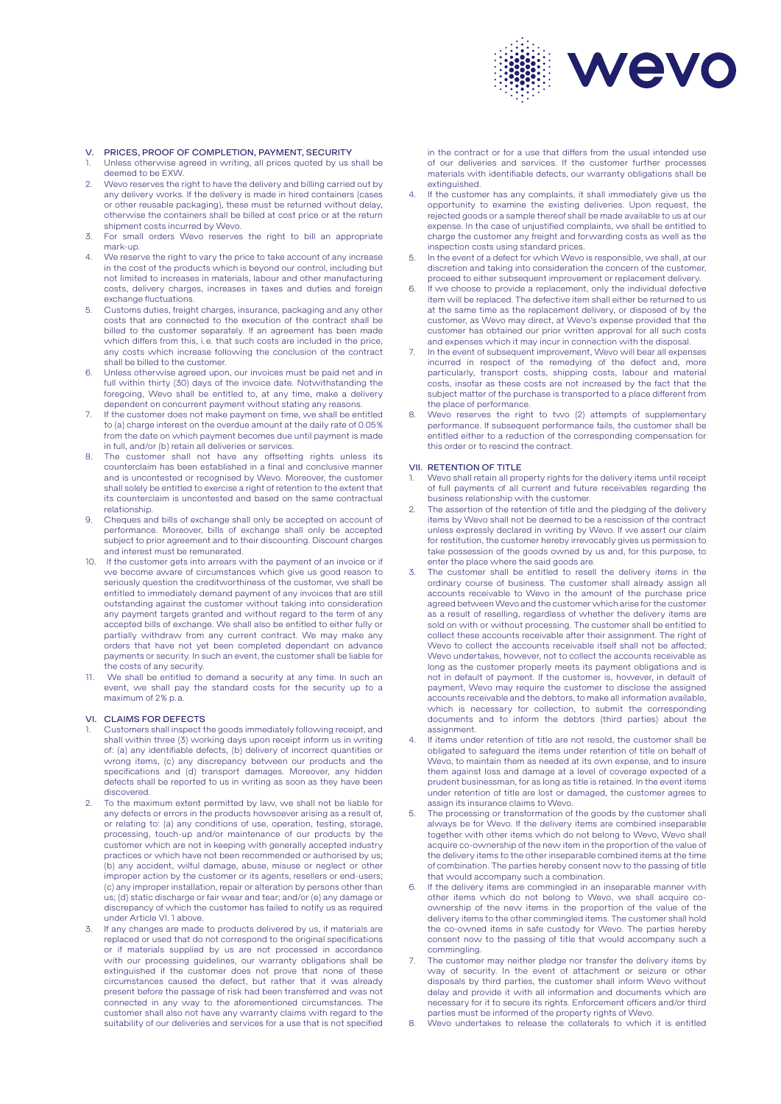

#### V. PRICES, PROOF OF COMPLETION, PAYMENT, SECURITY

- 1. Unless otherwise agreed in writing, all prices quoted by us shall be deemed to be EXW.
- 2. Wevo reserves the right to have the delivery and billing carried out by any delivery works. If the delivery is made in hired containers (cases or other reusable packaging), these must be returned without delay, otherwise the containers shall be billed at cost price or at the return shipment costs incurred by Wevo.
- 3. For small orders Wevo reserves the right to bill an appropriate mark-up.
- We reserve the right to vary the price to take account of any increase in the cost of the products which is beyond our control, including but not limited to increases in materials, labour and other manufacturing costs, delivery charges, increases in taxes and duties and foreign exchange fluctuations.
- 5. Customs duties, freight charges, insurance, packaging and any other costs that are connected to the execution of the contract shall be billed to the customer separately. If an agreement has been made which differs from this, i.e. that such costs are included in the price, any costs which increase following the conclusion of the contract shall be billed to the customer.
- 6. Unless otherwise agreed upon, our invoices must be paid net and in full within thirty (30) days of the invoice date. Notwithstanding the foregoing, Wevo shall be entitled to, at any time, make a delivery dependent on concurrent payment without stating any reasons.
- 7. If the customer does not make payment on time, we shall be entitled to (a) charge interest on the overdue amount at the daily rate of 0.05% from the date on which payment becomes due until payment is made in full, and/or (b) retain all deliveries or services.
- 8. The customer shall not have any offsetting rights unless its counterclaim has been established in a final and conclusive manner and is uncontested or recognised by Wevo. Moreover, the customer shall solely be entitled to exercise a right of retention to the extent that its counterclaim is uncontested and based on the same contractual relationship.
- 9. Cheques and bills of exchange shall only be accepted on account of performance. Moreover, bills of exchange shall only be accepted subject to prior agreement and to their discounting. Discount charges and interest must be remunerated.
- 10. If the customer gets into arrears with the payment of an invoice or if we become aware of circumstances which give us good reason to seriously question the creditworthiness of the customer, we shall be entitled to immediately demand payment of any invoices that are still outstanding against the customer without taking into consideration any payment targets granted and without regard to the term of any accepted bills of exchange. We shall also be entitled to either fully or partially withdraw from any current contract. We may make any orders that have not yet been completed dependant on advance payments or security. In such an event, the customer shall be liable for the costs of any security.
- 11. We shall be entitled to demand a security at any time. In such an event, we shall pay the standard costs for the security up to a maximum of 2% p.a.

#### VI. CLAIMS FOR DEFECTS

- 1. Customers shall inspect the goods immediately following receipt, and shall within three (3) working days upon receipt inform us in writing of: (a) any identifiable defects, (b) delivery of incorrect quantities or wrong items, (c) any discrepancy between our products and the specifications and (d) transport damages. Moreover, any hidden defects shall be reported to us in writing as soon as they have been discovered.
- 2. To the maximum extent permitted by law, we shall not be liable for any defects or errors in the products howsoever arising as a result of, or relating to: (a) any conditions of use, operation, testing, storage, processing, touch-up and/or maintenance of our products by the customer which are not in keeping with generally accepted industry practices or which have not been recommended or authorised by us; (b) any accident, wilful damage, abuse, misuse or neglect or other improper action by the customer or its agents, resellers or end-users; (c) any improper installation, repair or alteration by persons other than us; (d) static discharge or fair wear and tear; and/or (e) any damage or discrepancy of which the customer has failed to notify us as required under Article VI. 1 above.
- 3. If any changes are made to products delivered by us, if materials are replaced or used that do not correspond to the original specifications or if materials supplied by us are not processed in accordance with our processing guidelines, our warranty obligations shall be extinguished if the customer does not prove that none of these circumstances caused the defect, but rather that it was already present before the passage of risk had been transferred and was not connected in any way to the aforementioned circumstances. The customer shall also not have any warranty claims with regard to the suitability of our deliveries and services for a use that is not specified

in the contract or for a use that differs from the usual intended use of our deliveries and services. If the customer further processes materials with identifiable defects, our warranty obligations shall be extinguished.

- If the customer has any complaints, it shall immediately give us the opportunity to examine the existing deliveries. Upon request, the rejected goods or a sample thereof shall be made available to us at our expense. In the case of unjustified complaints, we shall be entitled to charge the customer any freight and forwarding costs as well as the inspection costs using standard prices.
- In the event of a defect for which Wevo is responsible, we shall, at our discretion and taking into consideration the concern of the customer, proceed to either subsequent improvement or replacement delivery.
- 6. If we choose to provide a replacement, only the individual defective item will be replaced. The defective item shall either be returned to us at the same time as the replacement delivery, or disposed of by the customer, as Wevo may direct, at Wevo's expense provided that the customer has obtained our prior written approval for all such costs and expenses which it may incur in connection with the disposal.
- In the event of subsequent improvement, Wevo will bear all expenses incurred in respect of the remedying of the defect and, more particularly, transport costs, shipping costs, labour and material costs, insofar as these costs are not increased by the fact that the subject matter of the purchase is transported to a place different from the place of performance.
- 8. Wevo reserves the right to two (2) attempts of supplementary performance. If subsequent performance fails, the customer shall be entitled either to a reduction of the corresponding compensation for this order or to rescind the contract.

## VII. RETENTION OF TITLE

- Wevo shall retain all property rights for the delivery items until receipt of full payments of all current and future receivables regarding the business relationship with the customer.
- 2. The assertion of the retention of title and the pledging of the delivery items by Wevo shall not be deemed to be a rescission of the contract unless expressly declared in writing by Wevo. If we assert our claim for restitution, the customer hereby irrevocably gives us permission to take possession of the goods owned by us and, for this purpose, to enter the place where the said goods are.
- The customer shall be entitled to resell the delivery items in the ordinary course of business. The customer shall already assign all accounts receivable to Wevo in the amount of the purchase price agreed between Wevo and the customer which arise for the customer as a result of reselling, regardless of whether the delivery items are sold on with or without processing. The customer shall be entitled to collect these accounts receivable after their assignment. The right of Wevo to collect the accounts receivable itself shall not be affected; Wevo undertakes, however, not to collect the accounts receivable as long as the customer properly meets its payment obligations and is not in default of payment. If the customer is, however, in default of payment, Wevo may require the customer to disclose the assigned accounts receivable and the debtors, to make all information available, which is necessary for collection, to submit the corresponding documents and to inform the debtors (third parties) about the assignment.
- 4. If items under retention of title are not resold, the customer shall be obligated to safeguard the items under retention of title on behalf of Wevo, to maintain them as needed at its own expense, and to insure them against loss and damage at a level of coverage expected of a prudent businessman, for as long as title is retained. In the event items under retention of title are lost or damaged, the customer agrees to assign its insurance claims to Wevo.
- The processing or transformation of the goods by the customer shall always be for Wevo. If the delivery items are combined inseparable together with other items which do not belong to Wevo, Wevo shall acquire co-ownership of the new item in the proportion of the value of the delivery items to the other inseparable combined items at the time of combination. The parties hereby consent now to the passing of title that would accompany such a combination.
- If the delivery items are commingled in an inseparable manner with other items which do not belong to Wevo, we shall acquire coownership of the new items in the proportion of the value of the delivery items to the other commingled items. The customer shall hold the co-owned items in safe custody for Wevo. The parties hereby consent now to the passing of title that would accompany such a commingling.
- The customer may neither pledge nor transfer the delivery items by way of security. In the event of attachment or seizure or other disposals by third parties, the customer shall inform Wevo without delay and provide it with all information and documents which are necessary for it to secure its rights. Enforcement officers and/or third parties must be informed of the property rights of Wevo.
- 8. Wevo undertakes to release the collaterals to which it is entitled